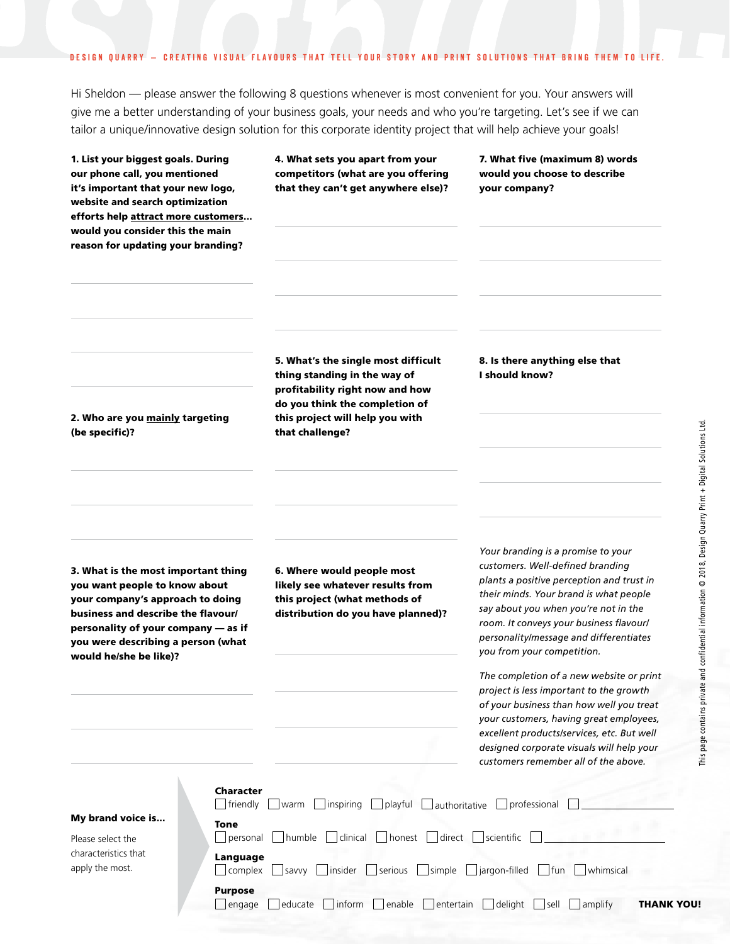#### DESIGN QUARRY - CREATING VISUAL FLAVOURS THAT TELL YOUR STORY AND PRINT SOLUTIONS THAT BRING THEM TO LIFE.

Hi Sheldon — please answer the following 8 questions whenever is most convenient for you. Your answers will give me a better understanding of your business goals, your needs and who you're targeting. Let's see if we can tailor a unique/innovative design solution for this corporate identity project that will help achieve your goals!

| 1. List your biggest goals. During<br>our phone call, you mentioned<br>it's important that your new logo,<br>website and search optimization<br>efforts help attract more customers<br>would you consider this the main<br>reason for updating your branding? | 4. What sets you apart from your<br>competitors (what are you offering<br>that they can't get anywhere else)?                                                                                  | 7. What five (maximum 8) words<br>would you choose to describe<br>your company?                                                                                                                                                                                                                                          |
|---------------------------------------------------------------------------------------------------------------------------------------------------------------------------------------------------------------------------------------------------------------|------------------------------------------------------------------------------------------------------------------------------------------------------------------------------------------------|--------------------------------------------------------------------------------------------------------------------------------------------------------------------------------------------------------------------------------------------------------------------------------------------------------------------------|
| 2. Who are you mainly targeting<br>(be specific)?                                                                                                                                                                                                             | 5. What's the single most difficult<br>thing standing in the way of<br>profitability right now and how<br>do you think the completion of<br>this project will help you with<br>that challenge? | 8. Is there anything else that<br>I should know?                                                                                                                                                                                                                                                                         |
| 3. What is the most important thing<br>you want people to know about<br>your company's approach to doing<br>business and describe the flavour/<br>personality of your company - as if<br>you were describing a person (what<br>would he/she be like)?         | 6. Where would people most<br>likely see whatever results from<br>this project (what methods of<br>distribution do you have planned)?                                                          | Your branding is a promise to your<br>customers. Well-defined branding<br>plants a positive perception and trust in<br>their minds. Your brand is what people<br>say about you when you're not in the<br>room. It conveys your business flavourl<br>personality/message and differentiates<br>you from your competition. |
|                                                                                                                                                                                                                                                               |                                                                                                                                                                                                | The completion of a new website or print<br>project is less important to the growth<br>of your business than how well you treat<br>your customers, having great employees,<br>excellent products/services, etc. But well<br>designed corporate visuals will help your<br>customers remember all of the above.            |
| <b>Character</b><br>$\exists$ friendly<br>My brand voice is<br>Tone<br>personal<br>Please select the<br>characteristics that<br>Language<br>apply the most.<br>complex<br><b>Purpose</b>                                                                      | $\Box$ inspiring<br>playful<br>warm<br>authoritative<br>direct  <br>clinical<br>$\Box$ honest<br>humble<br>  insider<br>serious<br>simple<br>savvy                                             | professional<br>scientific<br>jargon-filled<br>fun<br>whimsical                                                                                                                                                                                                                                                          |

 $\Box$ engage  $\Box$ educate  $\Box$ inform  $\Box$ enable  $\Box$ entertain  $\Box$ delight  $\Box$ sell  $\Box$ amplify **THANK YOU!**